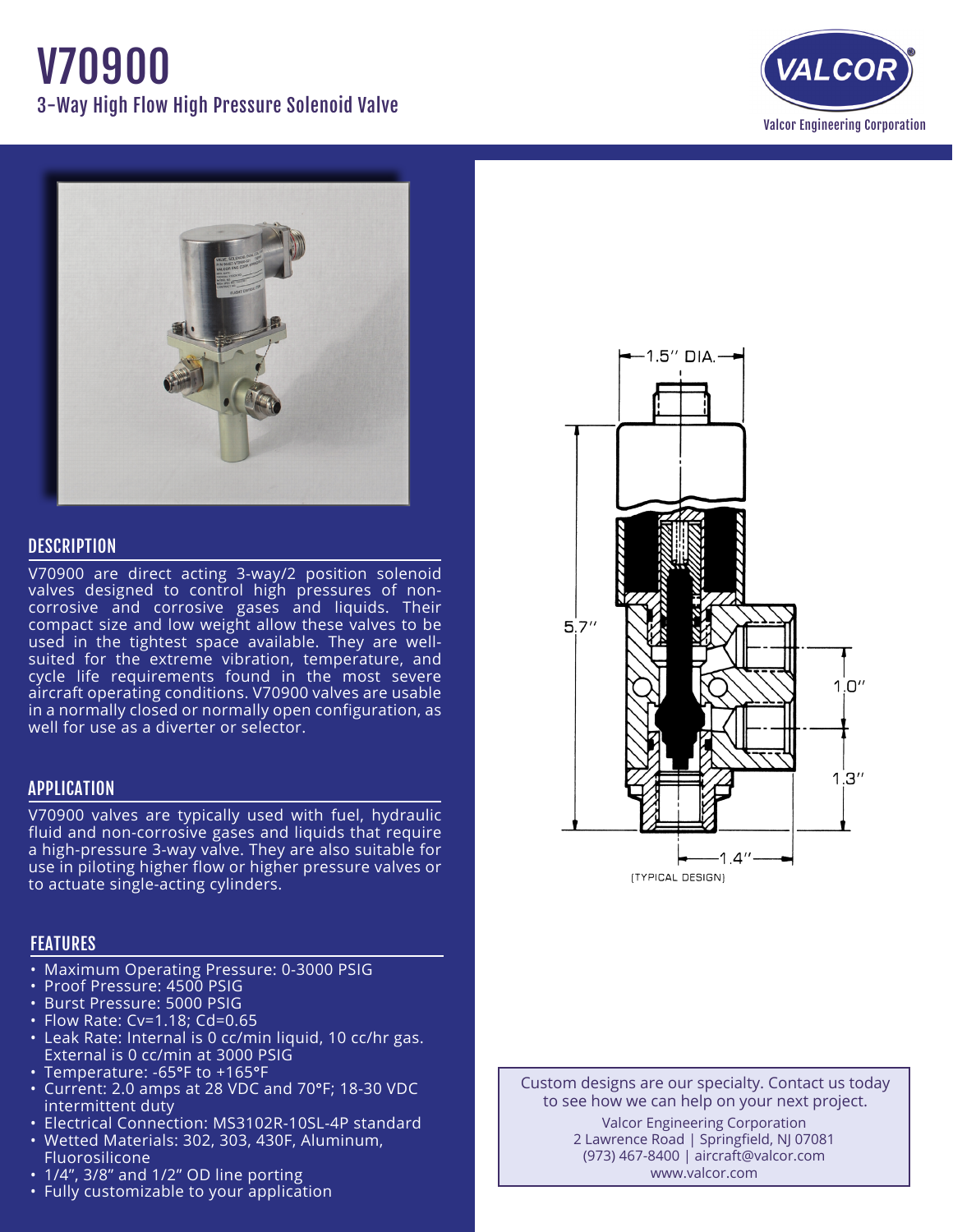# V70900 3-Way High Flow High Pressure Solenoid Valve





### **DESCRIPTION**

V70900 are direct acting 3-way/2 position solenoid valves designed to control high pressures of noncorrosive and corrosive gases and liquids. Their compact size and low weight allow these valves to be used in the tightest space available. They are wellsuited for the extreme vibration, temperature, and cycle life requirements found in the most severe aircraft operating conditions. V70900 valves are usable in a normally closed or normally open configuration, as well for use as a diverter or selector.

# APPLICATION

V70900 valves are typically used with fuel, hydraulic fluid and non-corrosive gases and liquids that require a high-pressure 3-way valve. They are also suitable for use in piloting higher flow or higher pressure valves or to actuate single-acting cylinders.

# FEATURES

- Maximum Operating Pressure: 0-3000 PSIG
- Proof Pressure: 4500 PSIG
- • Burst Pressure: 5000 PSIG
- Flow Rate: Cv=1.18; Cd=0.65
- Leak Rate: Internal is 0 cc/min liquid, 10 cc/hr gas. External is 0 cc/min at 3000 PSIG
- Temperature: -65°F to +165°F
- • Current: 2.0 amps at 28 VDC and 70°F; 18-30 VDC intermittent duty
- Electrical Connection: MS3102R-10SL-4P standard
- • Wetted Materials: 302, 303, 430F, Aluminum, Fluorosilicone
- $\cdot$  1/4", 3/8" and 1/2" OD line porting
- Fully customizable to your application



Custom designs are our specialty. Contact us today to see how we can help on your next project. Valcor Engineering Corporation 2 Lawrence Road | Springfield, NJ 07081 (973) 467-8400 | aircraft@valcor.com www.valcor.com